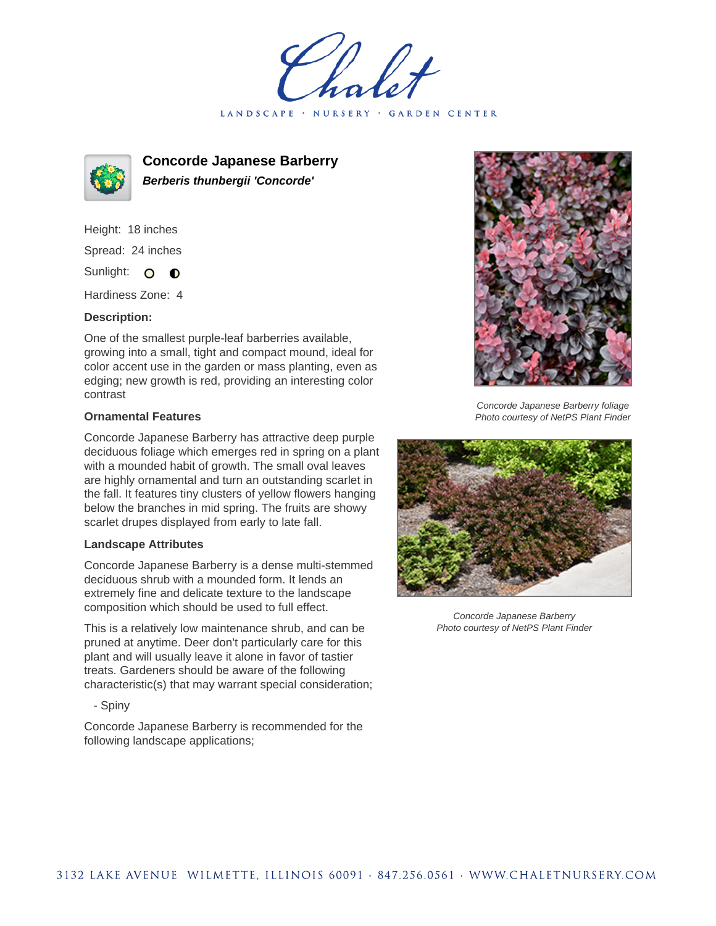holet LANDSCAPE · NURSERY · GARDEN CENTER



**Concorde Japanese Barberry Berberis thunbergii 'Concorde'**

Height: 18 inches Spread: 24 inches Sunlight: O  $\bullet$ 

Hardiness Zone: 4

## **Description:**

One of the smallest purple-leaf barberries available, growing into a small, tight and compact mound, ideal for color accent use in the garden or mass planting, even as edging; new growth is red, providing an interesting color contrast

## **Ornamental Features**

Concorde Japanese Barberry has attractive deep purple deciduous foliage which emerges red in spring on a plant with a mounded habit of growth. The small oval leaves are highly ornamental and turn an outstanding scarlet in the fall. It features tiny clusters of yellow flowers hanging below the branches in mid spring. The fruits are showy scarlet drupes displayed from early to late fall.

## **Landscape Attributes**

Concorde Japanese Barberry is a dense multi-stemmed deciduous shrub with a mounded form. It lends an extremely fine and delicate texture to the landscape composition which should be used to full effect.

This is a relatively low maintenance shrub, and can be pruned at anytime. Deer don't particularly care for this plant and will usually leave it alone in favor of tastier treats. Gardeners should be aware of the following characteristic(s) that may warrant special consideration;

- Spiny

Concorde Japanese Barberry is recommended for the following landscape applications;



Concorde Japanese Barberry foliage Photo courtesy of NetPS Plant Finder



Concorde Japanese Barberry Photo courtesy of NetPS Plant Finder